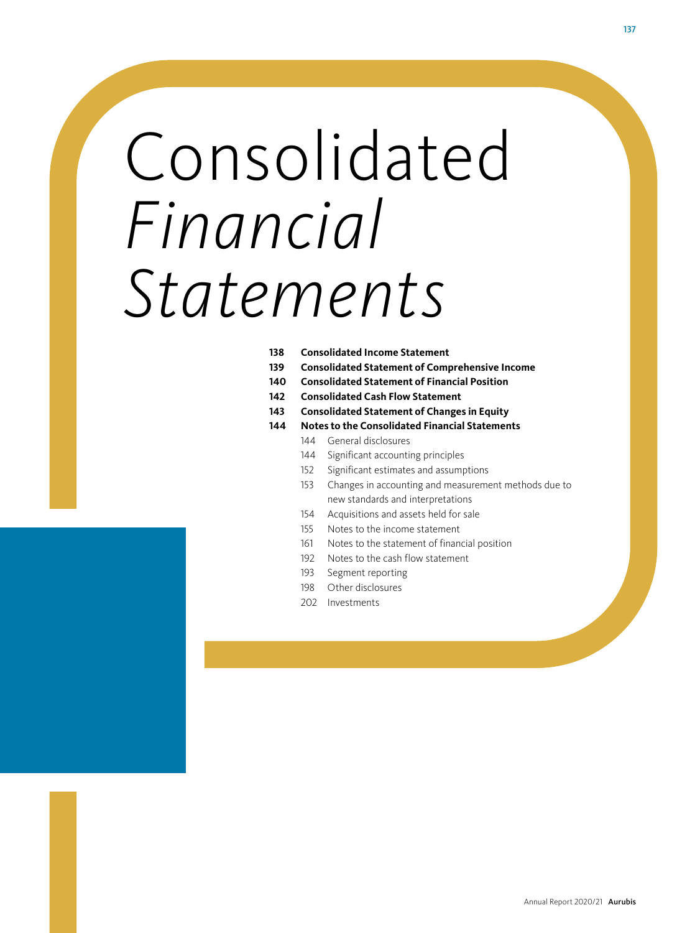# Consolidated *Financial Statements*

- **[Consolidated Income Statement](#page-1-0)**
- **[Consolidated Statement of Comprehensive Income](#page-2-0)**
- **[Consolidated Statement of Financial Position](#page-3-0)**
- **[Consolidated Cash Flow Statement](#page-5-0)**
- **[Consolidated Statement of Changes in Equity](#page-6-0)**
- **Notes to the Consolidated Financial Statements**
	- General disclosures
		- Significant accounting principles
		- Significant estimates and assumptions
	- 153 Changes in accounting and measurement methods due to new standards and interpretations
	- Acquisitions and assets held for sale
	- Notes to the income statement
	- Notes to the statement of financial position
	- Notes to the cash flow statement
	- Segment reporting
	- Other disclosures
	- Investments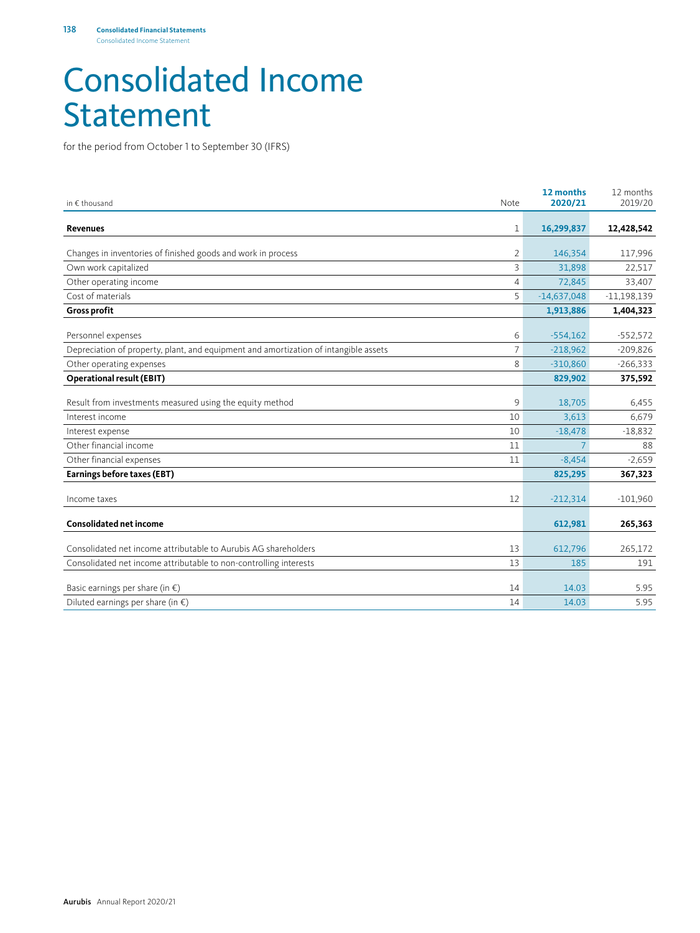### <span id="page-1-0"></span>Consolidated Income Statement

for the period from October 1 to September 30 (IFRS)

| in € thousand                                                                        | Note           | 12 months<br>2020/21 | 12 months<br>2019/20 |
|--------------------------------------------------------------------------------------|----------------|----------------------|----------------------|
| Revenues                                                                             | 1              | 16,299,837           | 12,428,542           |
| Changes in inventories of finished goods and work in process                         | 2              | 146,354              | 117,996              |
| Own work capitalized                                                                 | 3              | 31,898               | 22,517               |
| Other operating income                                                               | $\overline{4}$ | 72,845               | 33,407               |
| Cost of materials                                                                    | 5              | $-14,637,048$        | $-11,198,139$        |
| <b>Gross profit</b>                                                                  |                | 1,913,886            | 1,404,323            |
| Personnel expenses                                                                   | 6              | $-554,162$           | $-552,572$           |
| Depreciation of property, plant, and equipment and amortization of intangible assets | 7              | $-218,962$           | $-209,826$           |
| Other operating expenses                                                             | 8              | $-310,860$           | $-266,333$           |
| <b>Operational result (EBIT)</b>                                                     |                | 829,902              | 375,592              |
| Result from investments measured using the equity method                             | 9              | 18,705               | 6,455                |
| Interest income                                                                      | 10             | 3,613                | 6,679                |
| Interest expense                                                                     | 10             | $-18,478$            | $-18,832$            |
| Other financial income                                                               | 11             | 7                    | 88                   |
| Other financial expenses                                                             | 11             | $-8,454$             | $-2,659$             |
| Earnings before taxes (EBT)                                                          |                | 825,295              | 367,323              |
| Income taxes                                                                         | 12             | $-212,314$           | $-101,960$           |
| <b>Consolidated net income</b>                                                       |                | 612,981              | 265,363              |
| Consolidated net income attributable to Aurubis AG shareholders                      | 13             | 612,796              | 265,172              |
| Consolidated net income attributable to non-controlling interests                    | 13             | 185                  | 191                  |
| Basic earnings per share (in $\epsilon$ )                                            | 14             | 14.03                | 5.95                 |
| Diluted earnings per share (in $\epsilon$ )                                          | 14             | 14.03                | 5.95                 |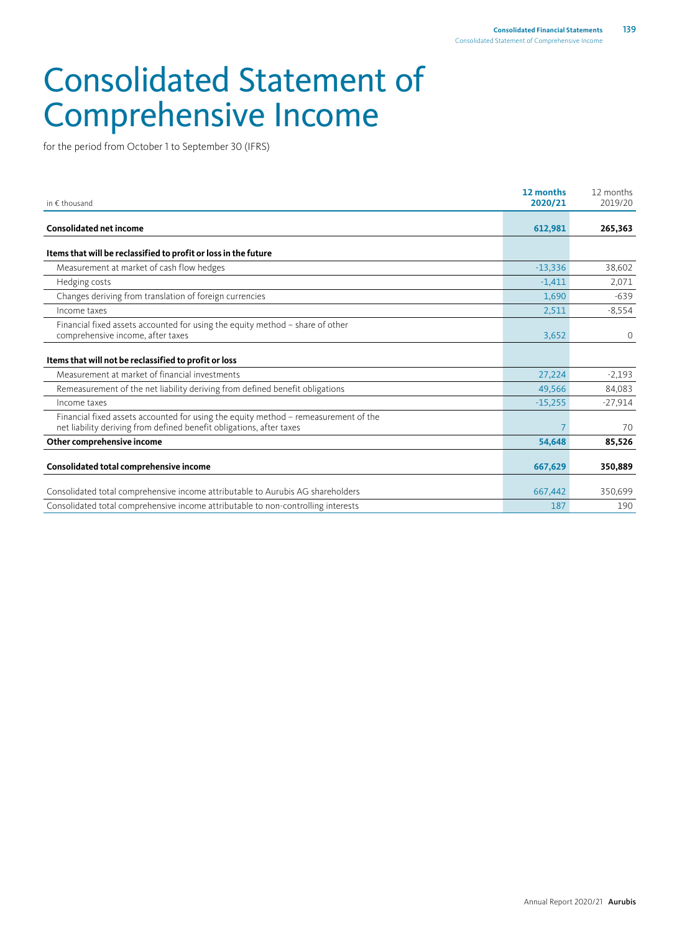## <span id="page-2-0"></span>Consolidated Statement of Comprehensive Income

for the period from October 1 to September 30 (IFRS)

| in $\epsilon$ thousand                                                                                                                                      | 12 months<br>2020/21 | 12 months<br>2019/20 |
|-------------------------------------------------------------------------------------------------------------------------------------------------------------|----------------------|----------------------|
| <b>Consolidated net income</b>                                                                                                                              | 612,981              | 265,363              |
| Items that will be reclassified to profit or loss in the future                                                                                             |                      |                      |
| Measurement at market of cash flow hedges                                                                                                                   | $-13,336$            | 38,602               |
| Hedging costs                                                                                                                                               | $-1,411$             | 2,071                |
| Changes deriving from translation of foreign currencies                                                                                                     | 1,690                | $-639$               |
| Income taxes                                                                                                                                                | 2,511                | $-8,554$             |
| Financial fixed assets accounted for using the equity method - share of other<br>comprehensive income, after taxes                                          | 3,652                | $\overline{0}$       |
| Items that will not be reclassified to profit or loss                                                                                                       |                      |                      |
| Measurement at market of financial investments                                                                                                              | 27,224               | $-2,193$             |
| Remeasurement of the net liability deriving from defined benefit obligations                                                                                | 49,566               | 84,083               |
| Income taxes                                                                                                                                                | $-15,255$            | $-27,914$            |
| Financial fixed assets accounted for using the equity method - remeasurement of the<br>net liability deriving from defined benefit obligations, after taxes |                      | 70                   |
| Other comprehensive income                                                                                                                                  | 54,648               | 85,526               |
| Consolidated total comprehensive income                                                                                                                     | 667,629              | 350,889              |
| Consolidated total comprehensive income attributable to Aurubis AG shareholders                                                                             | 667,442              | 350,699              |
| Consolidated total comprehensive income attributable to non-controlling interests                                                                           | 187                  | 190                  |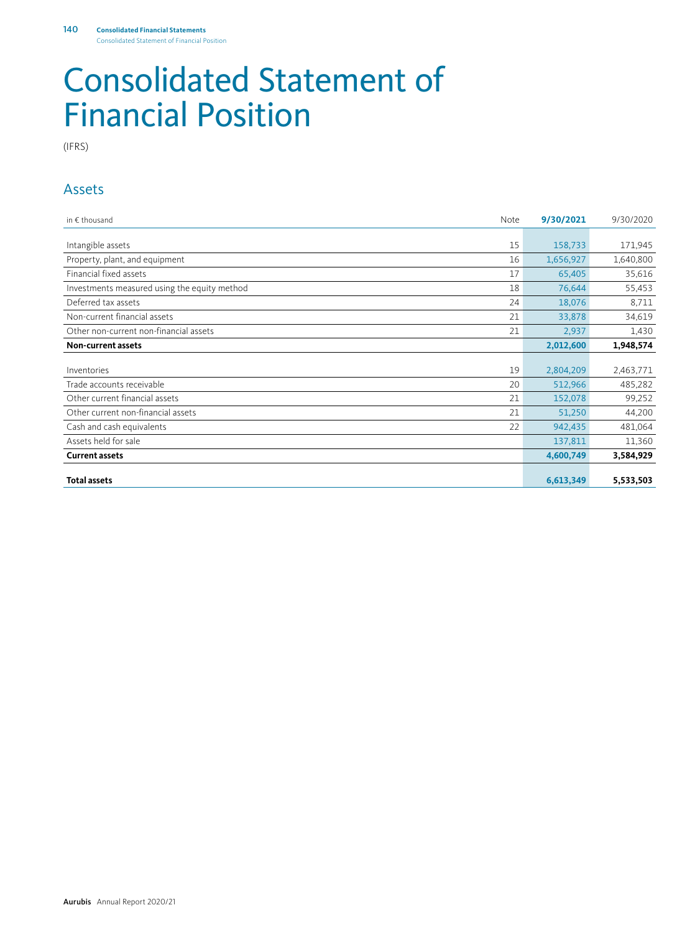### <span id="page-3-0"></span>Consolidated Statement of Financial Position

(IFRS)

#### Assets

| in $\notin$ thousand                         | Note | 9/30/2021 | 9/30/2020 |
|----------------------------------------------|------|-----------|-----------|
|                                              |      |           |           |
| Intangible assets                            | 15   | 158,733   | 171,945   |
| Property, plant, and equipment               | 16   | 1,656,927 | 1,640,800 |
| Financial fixed assets                       | 17   | 65,405    | 35,616    |
| Investments measured using the equity method | 18   | 76,644    | 55,453    |
| Deferred tax assets                          | 24   | 18,076    | 8,711     |
| Non-current financial assets                 | 21   | 33,878    | 34,619    |
| Other non-current non-financial assets       | 21   | 2,937     | 1,430     |
| Non-current assets                           |      | 2,012,600 | 1,948,574 |
|                                              |      |           |           |
| Inventories                                  | 19   | 2,804,209 | 2,463,771 |
| Trade accounts receivable                    | 20   | 512,966   | 485,282   |
| Other current financial assets               | 21   | 152,078   | 99,252    |
| Other current non-financial assets           | 21   | 51,250    | 44,200    |
| Cash and cash equivalents                    | 22   | 942,435   | 481,064   |
| Assets held for sale                         |      | 137,811   | 11,360    |
| <b>Current assets</b>                        |      | 4,600,749 | 3,584,929 |
|                                              |      |           |           |
| <b>Total assets</b>                          |      | 6,613,349 | 5,533,503 |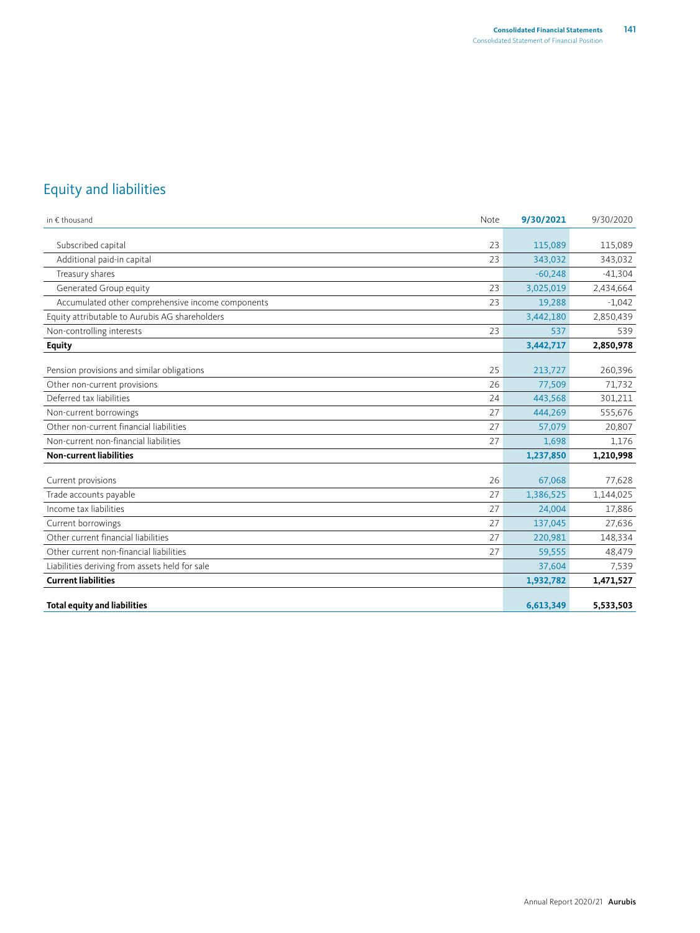### Equity and liabilities

| in $\epsilon$ thousand                            | Note | 9/30/2021 | 9/30/2020 |
|---------------------------------------------------|------|-----------|-----------|
|                                                   |      |           |           |
| Subscribed capital                                | 23   | 115,089   | 115,089   |
| Additional paid-in capital                        | 23   | 343,032   | 343,032   |
| Treasury shares                                   |      | $-60,248$ | $-41,304$ |
| Generated Group equity                            | 23   | 3,025,019 | 2,434,664 |
| Accumulated other comprehensive income components | 23   | 19,288    | $-1,042$  |
| Equity attributable to Aurubis AG shareholders    |      | 3,442,180 | 2,850,439 |
| Non-controlling interests                         | 23   | 537       | 539       |
| <b>Equity</b>                                     |      | 3,442,717 | 2,850,978 |
|                                                   |      |           |           |
| Pension provisions and similar obligations        | 25   | 213,727   | 260,396   |
| Other non-current provisions                      | 26   | 77,509    | 71,732    |
| Deferred tax liabilities                          | 24   | 443,568   | 301,211   |
| Non-current borrowings                            | 27   | 444,269   | 555,676   |
| Other non-current financial liabilities           | 27   | 57,079    | 20,807    |
| Non-current non-financial liabilities             | 27   | 1,698     | 1,176     |
| <b>Non-current liabilities</b>                    |      | 1,237,850 | 1,210,998 |
|                                                   |      |           |           |
| Current provisions                                | 26   | 67,068    | 77,628    |
| Trade accounts payable                            | 27   | 1,386,525 | 1,144,025 |
| Income tax liabilities                            | 27   | 24,004    | 17,886    |
| Current borrowings                                | 27   | 137,045   | 27,636    |
| Other current financial liabilities               | 27   | 220,981   | 148,334   |
| Other current non-financial liabilities           | 27   | 59,555    | 48,479    |
| Liabilities deriving from assets held for sale    |      | 37,604    | 7,539     |
| <b>Current liabilities</b>                        |      | 1,932,782 | 1,471,527 |
| <b>Total equity and liabilities</b>               |      | 6,613,349 | 5,533,503 |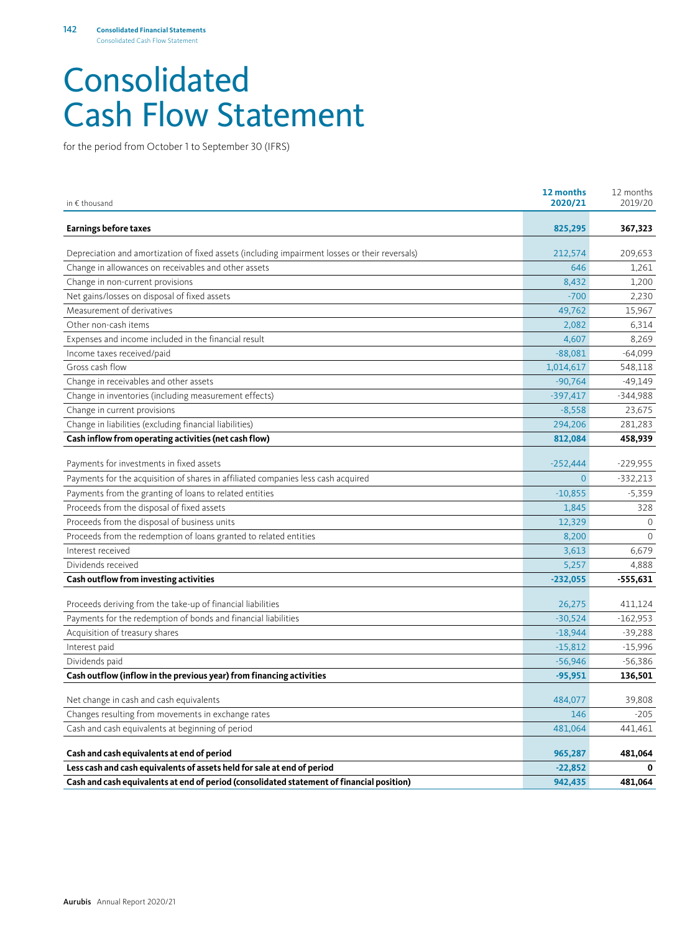### <span id="page-5-0"></span>Consolidated Cash Flow Statement

for the period from October 1 to September 30 (IFRS)

| in € thousand                                                                                  | 12 months<br>2020/21 | 12 months<br>2019/20 |
|------------------------------------------------------------------------------------------------|----------------------|----------------------|
| <b>Earnings before taxes</b>                                                                   | 825,295              | 367,323              |
| Depreciation and amortization of fixed assets (including impairment losses or their reversals) | 212,574              | 209,653              |
| Change in allowances on receivables and other assets                                           | 646                  | 1.261                |
| Change in non-current provisions                                                               | 8,432                | 1,200                |
| Net gains/losses on disposal of fixed assets                                                   | $-700$               | 2,230                |
| Measurement of derivatives                                                                     | 49,762               | 15,967               |
| Other non-cash items                                                                           | 2,082                | 6,314                |
| Expenses and income included in the financial result                                           | 4,607                | 8,269                |
| Income taxes received/paid                                                                     | $-88,081$            | $-64,099$            |
| Gross cash flow                                                                                | 1,014,617            | 548,118              |
| Change in receivables and other assets                                                         | $-90,764$            | $-49,149$            |
| Change in inventories (including measurement effects)                                          | $-397,417$           | $-344,988$           |
| Change in current provisions                                                                   | $-8,558$             | 23,675               |
| Change in liabilities (excluding financial liabilities)                                        | 294,206              | 281,283              |
| Cash inflow from operating activities (net cash flow)                                          | 812,084              | 458,939              |
| Payments for investments in fixed assets                                                       | $-252,444$           | $-229,955$           |
| Payments for the acquisition of shares in affiliated companies less cash acquired              | $\mathbf{0}$         | $-332,213$           |
| Payments from the granting of loans to related entities                                        | $-10,855$            | $-5,359$             |
| Proceeds from the disposal of fixed assets                                                     | 1,845                | 328                  |
| Proceeds from the disposal of business units                                                   | 12,329               | $\Omega$             |
| Proceeds from the redemption of loans granted to related entities                              | 8,200                | $\Omega$             |
| Interest received                                                                              | 3,613                | 6,679                |
| Dividends received                                                                             | 5,257                | 4,888                |
| Cash outflow from investing activities                                                         | $-232,055$           | -555,631             |
|                                                                                                |                      |                      |
| Proceeds deriving from the take-up of financial liabilities                                    | 26,275               | 411,124              |
| Payments for the redemption of bonds and financial liabilities                                 | $-30,524$            | $-162,953$           |
| Acquisition of treasury shares                                                                 | $-18,944$            | $-39,288$            |
| Interest paid                                                                                  | $-15,812$            | $-15,996$            |
| Dividends paid                                                                                 | $-56,946$            | $-56,386$            |
| Cash outflow (inflow in the previous year) from financing activities                           | $-95,951$            | 136,501              |
|                                                                                                |                      |                      |
| Net change in cash and cash equivalents                                                        | 484,077              | 39,808               |
| Changes resulting from movements in exchange rates                                             | 146                  | $-205$               |
| Cash and cash equivalents at beginning of period                                               | 481,064              | 441,461              |
| Cash and cash equivalents at end of period                                                     | 965,287              | 481,064              |
| Less cash and cash equivalents of assets held for sale at end of period                        | $-22,852$            | 0                    |
| Cash and cash equivalents at end of period (consolidated statement of financial position)      | 942,435              | 481,064              |